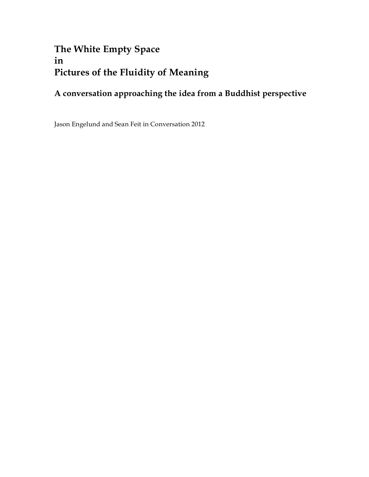# **The White Empty Space in Pictures of the Fluidity of Meaning**

# **A conversation approaching the idea from a Buddhist perspective**

Jason Engelund and Sean Feit in Conversation 2012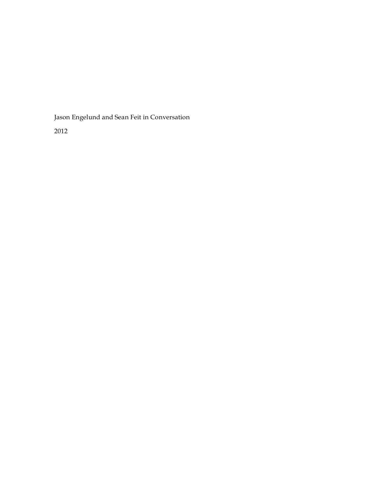Jason Engelund and Sean Feit in Conversation

2012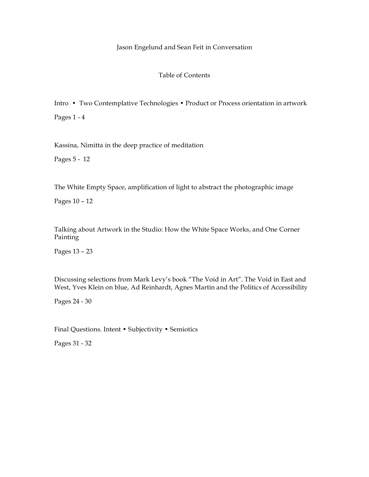#### Jason Engelund and Sean Feit in Conversation

#### Table of Contents

Intro • Two Contemplative Technologies • Product or Process orientation in artwork Pages 1 - 4

Kassina, Nimitta in the deep practice of meditation

Pages 5 - 12

The White Empty Space, amplification of light to abstract the photographic image

Pages 10 – 12

Talking about Artwork in the Studio: How the White Space Works, and One Corner Painting

Pages 13 – 23

Discussing selections from Mark Levy's book "The Void in Art". The Void in East and West, Yves Klein on blue, Ad Reinhardt, Agnes Martin and the Politics of Accessibility

Pages 24 - 30

Final Questions. Intent • Subjectivity • Semiotics

Pages 31 - 32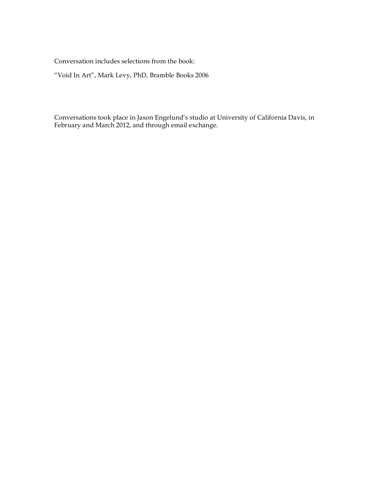Conversation includes selections from the book:

"Void In Art", Mark Levy, PhD, Bramble Books 2006

Conversations took place in Jason Engelund's studio at University of California Davis, in February and March 2012, and through email exchange.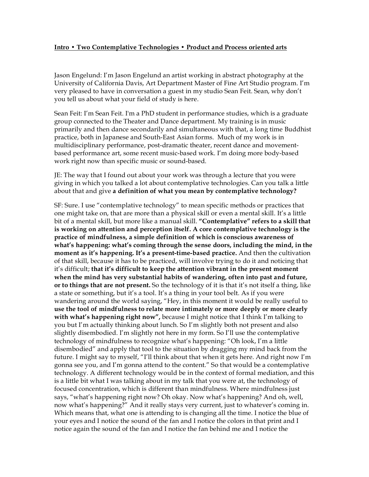## **Intro • Two Contemplative Technologies • Product and Process oriented arts**

Jason Engelund: I'm Jason Engelund an artist working in abstract photography at the University of California Davis, Art Department Master of Fine Art Studio program. I'm very pleased to have in conversation a guest in my studio Sean Feit. Sean, why don't you tell us about what your field of study is here.

Sean Feit: I'm Sean Feit. I'm a PhD student in performance studies, which is a graduate group connected to the Theater and Dance department. My training is in music primarily and then dance secondarily and simultaneous with that, a long time Buddhist practice, both in Japanese and South-East Asian forms. Much of my work is in multidisciplinary performance, post-dramatic theater, recent dance and movementbased performance art, some recent music-based work. I'm doing more body-based work right now than specific music or sound-based.

JE: The way that I found out about your work was through a lecture that you were giving in which you talked a lot about contemplative technologies. Can you talk a little about that and give **a definition of what you mean by contemplative technology?**

SF: Sure. I use "contemplative technology" to mean specific methods or practices that one might take on, that are more than a physical skill or even a mental skill. It's a little bit of a mental skill, but more like a manual skill. **"Contemplative" refers to a skill that is working on attention and perception itself. A core contemplative technology is the practice of mindfulness, a simple definition of which is conscious awareness of what's happening: what's coming through the sense doors, including the mind, in the moment as it's happening. It's a present-time-based practice.** And then the cultivation of that skill, because it has to be practiced, will involve trying to do it and noticing that it's difficult; **that it's difficult to keep the attention vibrant in the present moment when the mind has very substantial habits of wandering, often into past and future, or to things that are not present.** So the technology of it is that it's not itself a thing, like a state or something, but it's a tool. It's a thing in your tool belt. As if you were wandering around the world saying, "Hey, in this moment it would be really useful to **use the tool of mindfulness to relate more intimately or more deeply or more clearly with what's happening right now",** because I might notice that I think I'm talking to you but I'm actually thinking about lunch. So I'm slightly both not present and also slightly disembodied. I'm slightly not here in my form. So I'll use the contemplative technology of mindfulness to recognize what's happening: "Oh look, I'm a little disembodied" and apply that tool to the situation by dragging my mind back from the future. I might say to myself, "I'll think about that when it gets here. And right now I'm gonna see you, and I'm gonna attend to the content." So that would be a contemplative technology. A different technology would be in the context of formal mediation, and this is a little bit what I was talking about in my talk that you were at, the technology of focused concentration, which is different than mindfulness. Where mindfulness just says, "what's happening right now? Oh okay. Now what's happening? And oh, well, now what's happening?" And it really stays very current, just to whatever's coming in. Which means that, what one is attending to is changing all the time. I notice the blue of your eyes and I notice the sound of the fan and I notice the colors in that print and I notice again the sound of the fan and I notice the fan behind me and I notice the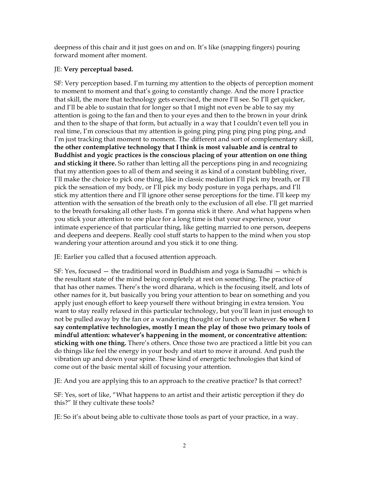deepness of this chair and it just goes on and on. It's like (snapping fingers) pouring forward moment after moment.

# JE: **Very perceptual based.**

SF: Very perception based. I'm turning my attention to the objects of perception moment to moment to moment and that's going to constantly change. And the more I practice that skill, the more that technology gets exercised, the more I'll see. So I'll get quicker, and I'll be able to sustain that for longer so that I might not even be able to say my attention is going to the fan and then to your eyes and then to the brown in your drink and then to the shape of that form, but actually in a way that I couldn't even tell you in real time, I'm conscious that my attention is going ping ping ping ping ping ping, and I'm just tracking that moment to moment. The different and sort of complementary skill, **the other contemplative technology that I think is most valuable and is central to Buddhist and yogic practices is the conscious placing of your attention on one thing and sticking it there.** So rather than letting all the perceptions ping in and recognizing that my attention goes to all of them and seeing it as kind of a constant bubbling river, I'll make the choice to pick one thing, like in classic mediation I'll pick my breath, or I'll pick the sensation of my body, or I'll pick my body posture in yoga perhaps, and I'll stick my attention there and I'll ignore other sense perceptions for the time. I'll keep my attention with the sensation of the breath only to the exclusion of all else. I'll get married to the breath forsaking all other lusts. I'm gonna stick it there. And what happens when you stick your attention to one place for a long time is that your experience, your intimate experience of that particular thing, like getting married to one person, deepens and deepens and deepens. Really cool stuff starts to happen to the mind when you stop wandering your attention around and you stick it to one thing.

JE: Earlier you called that a focused attention approach.

SF: Yes, focused — the traditional word in Buddhism and yoga is Samadhi — which is the resultant state of the mind being completely at rest on something. The practice of that has other names. There's the word dharana, which is the focusing itself, and lots of other names for it, but basically you bring your attention to bear on something and you apply just enough effort to keep yourself there without bringing in extra tension. You want to stay really relaxed in this particular technology, but you'll lean in just enough to not be pulled away by the fan or a wandering thought or lunch or whatever. **So when I say contemplative technologies, mostly I mean the play of those two primary tools of mindful attention: whatever's happening in the moment, or concentrative attention: sticking with one thing.** There's others. Once those two are practiced a little bit you can do things like feel the energy in your body and start to move it around. And push the vibration up and down your spine. These kind of energetic technologies that kind of come out of the basic mental skill of focusing your attention.

JE: And you are applying this to an approach to the creative practice? Is that correct?

SF: Yes, sort of like, "What happens to an artist and their artistic perception if they do this?" If they cultivate these tools?

JE: So it's about being able to cultivate those tools as part of your practice, in a way.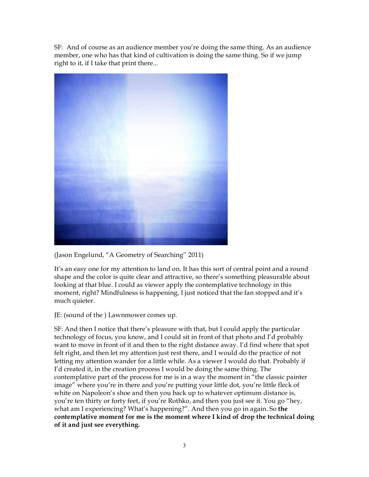SF: And of course as an audience member you're doing the same thing. As an audience member, one who has that kind of cultivation is doing the same thing. So if we jump right to it, if I take that print there...



(Jason Engelund, "A Geometry of Searching" 2011)

It's an easy one for my attention to land on. It has this sort of central point and a round shape and the color is quite clear and attractive, so there's something pleasurable about looking at that blue. I could as viewer apply the contemplative technology in this moment, right? Mindfulness is happening, I just noticed that the fan stopped and it's much quieter.

JE: (sound of the ) Lawnmower comes up.

SF: And then I notice that there's pleasure with that, but I could apply the particular technology of focus, you know, and I could sit in front of that photo and I'd probably want to move in front of it and then to the right distance away. I'd find where that spot felt right, and then let my attention just rest there, and I would do the practice of not letting my attention wander for a little while. As a viewer I would do that. Probably if I'd created it, in the creation process I would be doing the same thing. The contemplative part of the process for me is in a way the moment in "the classic painter image" where you're in there and you're putting your little dot, you're little fleck of white on Napoleon's shoe and then you back up to whatever optimum distance is, you're ten thirty or forty feet, if you're Rothko, and then you just see it. You go "hey, what am I experiencing? What's happening?". And then you go in again. So **the contemplative moment for me is the moment where I kind of drop the technical doing of it and just see everything.**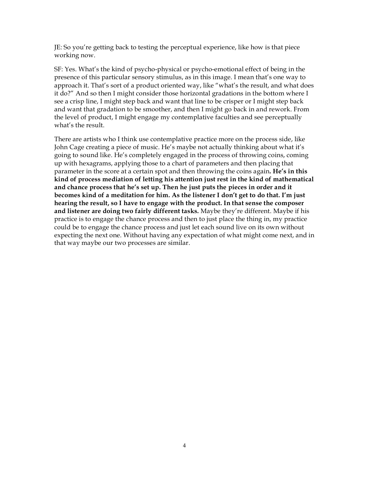JE: So you're getting back to testing the perceptual experience, like how is that piece working now.

SF: Yes. What's the kind of psycho-physical or psycho-emotional effect of being in the presence of this particular sensory stimulus, as in this image. I mean that's one way to approach it. That's sort of a product oriented way, like "what's the result, and what does it do?" And so then I might consider those horizontal gradations in the bottom where I see a crisp line, I might step back and want that line to be crisper or I might step back and want that gradation to be smoother, and then I might go back in and rework. From the level of product, I might engage my contemplative faculties and see perceptually what's the result.

There are artists who I think use contemplative practice more on the process side, like John Cage creating a piece of music. He's maybe not actually thinking about what it's going to sound like. He's completely engaged in the process of throwing coins, coming up with hexagrams, applying those to a chart of parameters and then placing that parameter in the score at a certain spot and then throwing the coins again**. He's in this kind of process mediation of letting his attention just rest in the kind of mathematical and chance process that he's set up. Then he just puts the pieces in order and it becomes kind of a meditation for him. As the listener I don't get to do that. I'm just hearing the result, so I have to engage with the product. In that sense the composer and listener are doing two fairly different tasks.** Maybe they're different. Maybe if his practice is to engage the chance process and then to just place the thing in, my practice could be to engage the chance process and just let each sound live on its own without expecting the next one. Without having any expectation of what might come next, and in that way maybe our two processes are similar.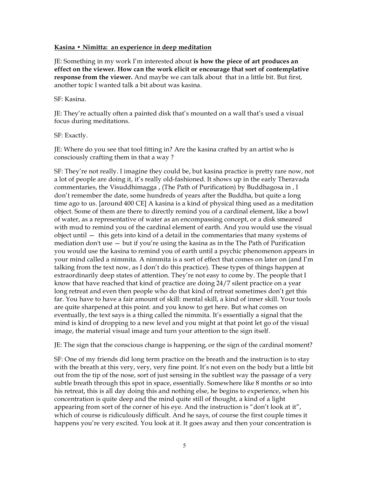#### **Kasina • Nimitta: an experience in deep meditation**

JE: Something in my work I'm interested about **is how the piece of art produces an effect on the viewer. How can the work elicit or encourage that sort of contemplative response from the viewer.** And maybe we can talk about that in a little bit. But first, another topic I wanted talk a bit about was kasina.

#### SF: Kasina.

JE: They're actually often a painted disk that's mounted on a wall that's used a visual focus during meditations.

#### SF: Exactly.

JE: Where do you see that tool fitting in? Are the kasina crafted by an artist who is consciously crafting them in that a way ?

SF: They're not really. I imagine they could be, but kasina practice is pretty rare now, not a lot of people are doing it, it's really old-fashioned. It shows up in the early Theravada commentaries, the Visuddhimagga , (The Path of Purification) by Buddhagosa in , I don't remember the date, some hundreds of years after the Buddha, but quite a long time ago to us. [around 400 CE] A kasina is a kind of physical thing used as a meditation object. Some of them are there to directly remind you of a cardinal element, like a bowl of water, as a representative of water as an encompassing concept, or a disk smeared with mud to remind you of the cardinal element of earth. And you would use the visual object until — this gets into kind of a detail in the commentaries that many systems of mediation don't use — but if you're using the kasina as in the The Path of Purification you would use the kasina to remind you of earth until a psychic phenomenon appears in your mind called a nimmita. A nimmita is a sort of effect that comes on later on (and I'm talking from the text now, as I don't do this practice). These types of things happen at extraordinarily deep states of attention. They're not easy to come by. The people that I know that have reached that kind of practice are doing 24/7 silent practice on a year long retreat and even then people who do that kind of retreat sometimes don't get this far. You have to have a fair amount of skill: mental skill, a kind of inner skill. Your tools are quite sharpened at this point. and you know to get here. But what comes on eventually, the text says is a thing called the nimmita. It's essentially a signal that the mind is kind of dropping to a new level and you might at that point let go of the visual image, the material visual image and turn your attention to the sign itself.

JE: The sign that the conscious change is happening, or the sign of the cardinal moment?

SF: One of my friends did long term practice on the breath and the instruction is to stay with the breath at this very, very, very fine point. It's not even on the body but a little bit out from the tip of the nose, sort of just sensing in the subtlest way the passage of a very subtle breath through this spot in space, essentially. Somewhere like 8 months or so into his retreat, this is all day doing this and nothing else, he begins to experience, when his concentration is quite deep and the mind quite still of thought, a kind of a light appearing from sort of the corner of his eye. And the instruction is "don't look at it", which of course is ridiculously difficult. And he says, of course the first couple times it happens you're very excited. You look at it. It goes away and then your concentration is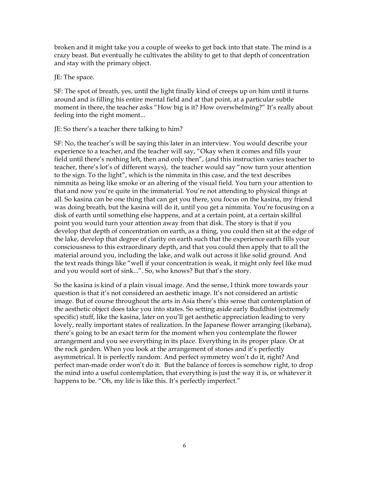broken and it might take you a couple of weeks to get back into that state. The mind is a crazy beast. But eventually he cultivates the ability to get to that depth of concentration and stay with the primary object.

#### JE: The space.

SF: The spot of breath, yes, until the light finally kind of creeps up on him until it turns around and is filling his entire mental field and at that point, at a particular subtle moment in there, the teacher asks "How big is it? How overwhelming?" It's really about feeling into the right moment...

### JE: So there's a teacher there talking to him?

SF: No, the teacher's will be saying this later in an interview. You would describe your experience to a teacher, and the teacher will say, "Okay when it comes and fills your field until there's nothing left, then and only then", (and this instruction varies teacher to teacher, there's lot's of different ways), the teacher would say "now turn your attention to the sign. To the light", which is the nimmita in this case, and the text describes nimmita as being like smoke or an altering of the visual field. You turn your attention to that and now you're quite in the immaterial. You're not attending to physical things at all. So kasina can be one thing that can get you there, you focus on the kasina, my friend was doing breath, but the kasina will do it, until you get a nimmita. You're focusing on a disk of earth until something else happens, and at a certain point, at a certain skillful point you would turn your attention away from that disk. The story is that if you develop that depth of concentration on earth, as a thing, you could then sit at the edge of the lake, develop that degree of clarity on earth such that the experience earth fills your consciousness to this extraordinary depth, and that you could then apply that to all the material around you, including the lake, and walk out across it like solid ground. And the text reads things like "well if your concentration is weak, it might only feel like mud and you would sort of sink...". So, who knows? But that's the story.

So the kasina is kind of a plain visual image. And the sense, I think more towards your question is that it's not considered an aesthetic image. It's not considered an artistic image. But of course throughout the arts in Asia there's this sense that contemplation of the aesthetic object does take you into states. So setting aside early Buddhist (extremely specific) stuff, like the kasina, later on you'll get aesthetic appreciation leading to very lovely, really important states of realization. In the Japanese flower arranging (ikebana), there's going to be an exact term for the moment when you contemplate the flower arrangement and you see everything in its place. Everything in its proper place. Or at the rock garden. When you look at the arrangement of stones and it's perfectly asymmetrical. It is perfectly random. And perfect symmetry won't do it, right? And perfect man-made order won't do it. But the balance of forces is somehow right, to drop the mind into a useful contemplation, that everything is just the way it is, or whatever it happens to be. "Oh, my life is like this. It's perfectly imperfect."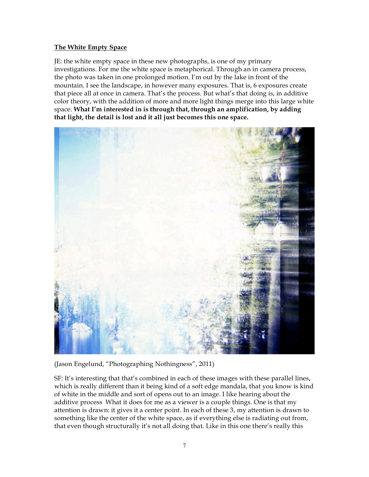# **The White Empty Space**

JE: the white empty space in these new photographs, is one of my primary investigations. For me the white space is metaphorical. Through an in camera process, the photo was taken in one prolonged motion. I'm out by the lake in front of the mountain. I see the landscape, in however many exposures. That is, 6 exposures create that piece all at once in camera. That's the process. But what's that doing is, in additive color theory, with the addition of more and more light things merge into this large white space. **What I'm interested in is through that, through an amplification, by adding that light, the detail is lost and it all just becomes this one space.**



(Jason Engelund, "Photographing Nothingness", 2011)

SF: It's interesting that that's combined in each of these images with these parallel lines, which is really different than it being kind of a soft edge mandala, that you know is kind of white in the middle and sort of opens out to an image. I like hearing about the additive process What it does for me as a viewer is a couple things. One is that my attention is drawn: it gives it a center point. In each of these 3, my attention is drawn to something like the center of the white space, as if everything else is radiating out from, that even though structurally it's not all doing that. Like in this one there's really this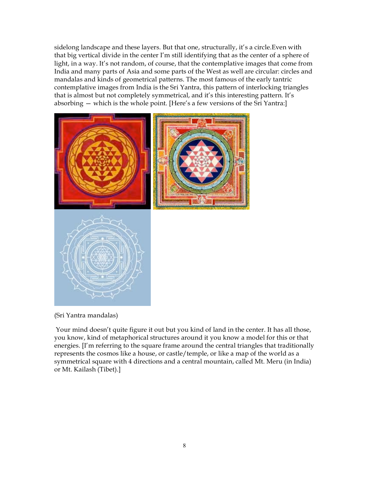sidelong landscape and these layers. But that one, structurally, it's a circle.Even with that big vertical divide in the center I'm still identifying that as the center of a sphere of light, in a way. It's not random, of course, that the contemplative images that come from India and many parts of Asia and some parts of the West as well are circular: circles and mandalas and kinds of geometrical patterns. The most famous of the early tantric contemplative images from India is the Sri Yantra, this pattern of interlocking triangles that is almost but not completely symmetrical, and it's this interesting pattern. It's absorbing — which is the whole point. [Here's a few versions of the Sri Yantra:]



(Sri Yantra mandalas)

 Your mind doesn't quite figure it out but you kind of land in the center. It has all those, you know, kind of metaphorical structures around it you know a model for this or that energies. [I'm referring to the square frame around the central triangles that traditionally represents the cosmos like a house, or castle/temple, or like a map of the world as a symmetrical square with 4 directions and a central mountain, called Mt. Meru (in India) or Mt. Kailash (Tibet).]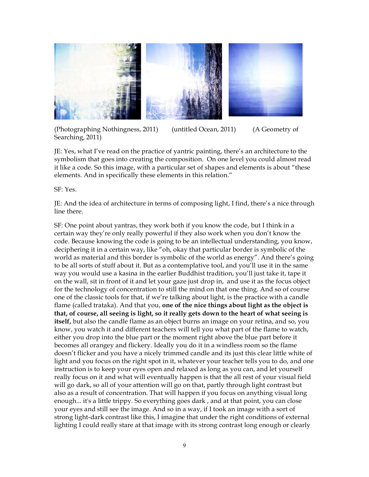

(Photographing Nothingness, 2011) (untitled Ocean, 2011) (A Geometry of Searching, 2011)

JE: Yes, what I've read on the practice of yantric painting, there's an architecture to the symbolism that goes into creating the composition. On one level you could almost read it like a code. So this image, with a particular set of shapes and elements is about "these elements. And in specifically these elements in this relation."

SF: Yes.

JE: And the idea of architecture in terms of composing light, I find, there's a nice through line there.

SF: One point about yantras, they work both if you know the code, but I think in a certain way they're only really powerful if they also work when you don't know the code. Because knowing the code is going to be an intellectual understanding, you know, deciphering it in a certain way, like "oh, okay that particular border is symbolic of the world as material and this border is symbolic of the world as energy". And there's going to be all sorts of stuff about it. But as a contemplative tool, and you'll use it in the same way you would use a kasina in the earlier Buddhist tradition, you'll just take it, tape it on the wall, sit in front of it and let your gaze just drop in, and use it as the focus object for the technology of concentration to still the mind on that one thing. And so of course one of the classic tools for that, if we're talking about light, is the practice with a candle flame (called trataka). And that you, **one of the nice things about light as the object is that, of course, all seeing is light, so it really gets down to the heart of what seeing is**  itself, but also the candle flame as an object burns an image on your retina, and so, you know, you watch it and different teachers will tell you what part of the flame to watch, either you drop into the blue part or the moment right above the blue part before it becomes all orangey and flickery. Ideally you do it in a windless room so the flame doesn't flicker and you have a nicely trimmed candle and its just this clear little white of light and you focus on the right spot in it, whatever your teacher tells you to do, and one instruction is to keep your eyes open and relaxed as long as you can, and let yourself really focus on it and what will eventually happen is that the all rest of your visual field will go dark, so all of your attention will go on that, partly through light contrast but also as a result of concentration. That will happen if you focus on anything visual long enough... it's a little trippy. So everything goes dark , and at that point, you can close your eyes and still see the image. And so in a way, if I took an image with a sort of strong light-dark contrast like this, I imagine that under the right conditions of external lighting I could really stare at that image with its strong contrast long enough or clearly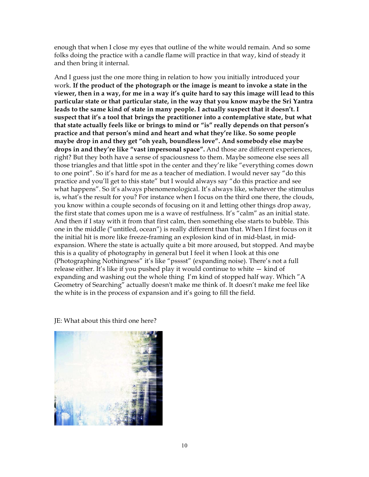enough that when I close my eyes that outline of the white would remain. And so some folks doing the practice with a candle flame will practice in that way, kind of steady it and then bring it internal.

And I guess just the one more thing in relation to how you initially introduced your work. **If the product of the photograph or the image is meant to invoke a state in the viewer, then in a way, for me in a way it's quite hard to say this image will lead to this particular state or that particular state, in the way that you know maybe the Sri Yantra leads to the same kind of state in many people. I actually suspect that it doesn't. I suspect that it's a tool that brings the practitioner into a contemplative state, but what that state actually feels like or brings to mind or "is" really depends on that person's practice and that person's mind and heart and what they're like. So some people maybe drop in and they get "oh yeah, boundless love". And somebody else maybe drops in and they're like "vast impersonal space".** And those are different experiences, right? But they both have a sense of spaciousness to them. Maybe someone else sees all those triangles and that little spot in the center and they're like "everything comes down to one point". So it's hard for me as a teacher of mediation. I would never say "do this practice and you'll get to this state" but I would always say "do this practice and see what happens". So it's always phenomenological. It's always like, whatever the stimulus is, what's the result for you? For instance when I focus on the third one there, the clouds, you know within a couple seconds of focusing on it and letting other things drop away, the first state that comes upon me is a wave of restfulness. It's "calm" as an initial state. And then if I stay with it from that first calm, then something else starts to bubble. This one in the middle ("untitled, ocean") is really different than that. When I first focus on it the initial hit is more like freeze-framing an explosion kind of in mid-blast, in midexpansion. Where the state is actually quite a bit more aroused, but stopped. And maybe this is a quality of photography in general but I feel it when I look at this one (Photographing Nothingness" it's like "psssst" (expanding noise). There's not a full release either. It's like if you pushed play it would continue to white — kind of expanding and washing out the whole thing I'm kind of stopped half way. Which "A Geometry of Searching" actually doesn't make me think of. It doesn't make me feel like the white is in the process of expansion and it's going to fill the field.

JE: What about this third one here?

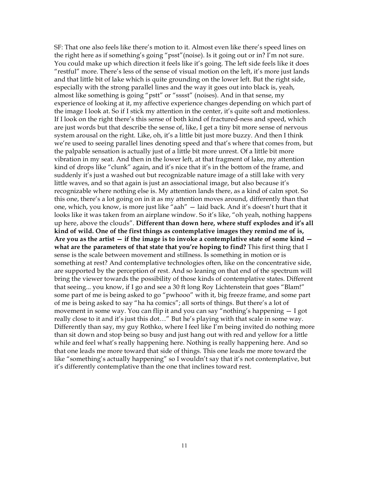SF: That one also feels like there's motion to it. Almost even like there's speed lines on the right here as if something's going "psst"(noise). Is it going out or in? I'm not sure. You could make up which direction it feels like it's going. The left side feels like it does "restful" more. There's less of the sense of visual motion on the left, it's more just lands and that little bit of lake which is quite grounding on the lower left. But the right side, especially with the strong parallel lines and the way it goes out into black is, yeah, almost like something is going "pstt" or "sssst" (noises). And in that sense, my experience of looking at it, my affective experience changes depending on which part of the image I look at. So if I stick my attention in the center, it's quite soft and motionless. If I look on the right there's this sense of both kind of fractured-ness and speed, which are just words but that describe the sense of, like, I get a tiny bit more sense of nervous system arousal on the right. Like, oh, it's a little bit just more buzzy. And then I think we're used to seeing parallel lines denoting speed and that's where that comes from, but the palpable sensation is actually just of a little bit more unrest. Of a little bit more vibration in my seat. And then in the lower left, at that fragment of lake, my attention kind of drops like "clunk" again, and it's nice that it's in the bottom of the frame, and suddenly it's just a washed out but recognizable nature image of a still lake with very little waves, and so that again is just an associational image, but also because it's recognizable where nothing else is. My attention lands there, as a kind of calm spot. So this one, there's a lot going on in it as my attention moves around, differently than that one, which, you know, is more just like "aah" — laid back. And it's doesn't hurt that it looks like it was taken from an airplane window. So it's like, "oh yeah, nothing happens up here, above the clouds". **Different than down here, where stuff explodes and it's all kind of wild. One of the first things as contemplative images they remind me of is, Are you as the artist — if the image is to invoke a contemplative state of some kind what are the parameters of that state that you're hoping to find?** This first thing that I sense is the scale between movement and stillness. Is something in motion or is something at rest? And contemplative technologies often, like on the concentrative side, are supported by the perception of rest. And so leaning on that end of the spectrum will bring the viewer towards the possibility of those kinds of contemplative states. Different that seeing... you know, if I go and see a 30 ft long Roy Lichtenstein that goes "Blam!" some part of me is being asked to go "pwhooo" with it, big freeze frame, and some part of me is being asked to say "ha ha comics"; all sorts of things. But there's a lot of movement in some way. You can flip it and you can say "nothing's happening — I got really close to it and it's just this dot…" But he's playing with that scale in some way. Differently than say, my guy Rothko, where I feel like I'm being invited do nothing more than sit down and stop being so busy and just hang out with red and yellow for a little while and feel what's really happening here. Nothing is really happening here. And so that one leads me more toward that side of things. This one leads me more toward the like "something's actually happening" so I wouldn't say that it's not contemplative, but it's differently contemplative than the one that inclines toward rest.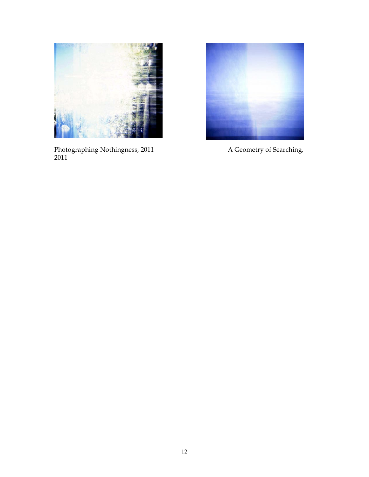

Photographing Nothingness, 2011 A Geometry of Searching, 

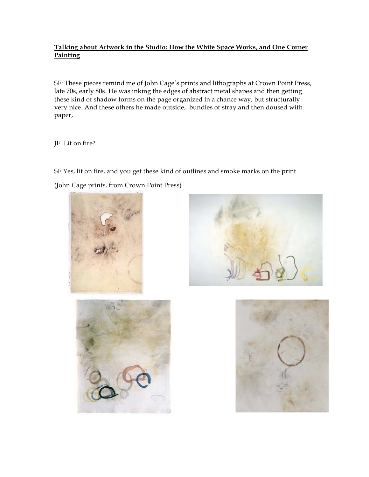# **Talking about Artwork in the Studio: How the White Space Works, and One Corner Painting**

SF: These pieces remind me of John Cage's prints and lithographs at Crown Point Press, late 70s, early 80s. He was inking the edges of abstract metal shapes and then getting these kind of shadow forms on the page organized in a chance way, but structurally very nice. And these others he made outside, bundles of stray and then doused with paper,

JE Lit on fire?

SF Yes, lit on fire, and you get these kind of outlines and smoke marks on the print.

(John Cage prints, from Crown Point Press)







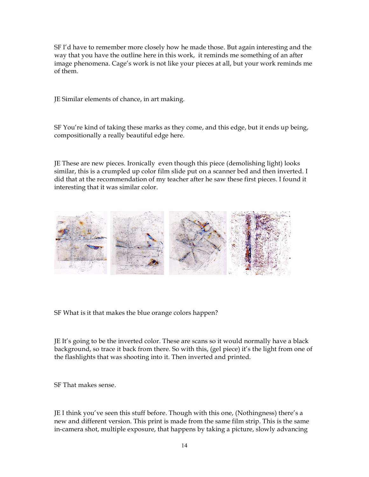SF I'd have to remember more closely how he made those. But again interesting and the way that you have the outline here in this work, it reminds me something of an after image phenomena. Cage's work is not like your pieces at all, but your work reminds me of them.

JE Similar elements of chance, in art making.

SF You're kind of taking these marks as they come, and this edge, but it ends up being, compositionally a really beautiful edge here.

JE These are new pieces. Ironically even though this piece (demolishing light) looks similar, this is a crumpled up color film slide put on a scanner bed and then inverted. I did that at the recommendation of my teacher after he saw these first pieces. I found it interesting that it was similar color.



SF What is it that makes the blue orange colors happen?

JE It's going to be the inverted color. These are scans so it would normally have a black background, so trace it back from there. So with this, (gel piece) it's the light from one of the flashlights that was shooting into it. Then inverted and printed.

SF That makes sense.

JE I think you've seen this stuff before. Though with this one, (Nothingness) there's a new and different version. This print is made from the same film strip. This is the same in-camera shot, multiple exposure, that happens by taking a picture, slowly advancing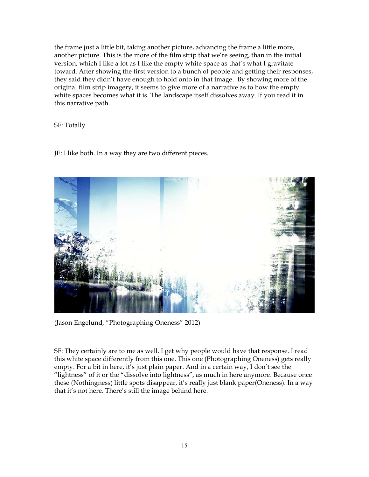the frame just a little bit, taking another picture, advancing the frame a little more, another picture. This is the more of the film strip that we're seeing, than in the initial version, which I like a lot as I like the empty white space as that's what I gravitate toward. After showing the first version to a bunch of people and getting their responses, they said they didn't have enough to hold onto in that image. By showing more of the original film strip imagery, it seems to give more of a narrative as to how the empty white spaces becomes what it is. The landscape itself dissolves away. If you read it in this narrative path.

SF: Totally

JE: I like both. In a way they are two different pieces.



(Jason Engelund, "Photographing Oneness" 2012)

SF: They certainly are to me as well. I get why people would have that response. I read this white space differently from this one. This one (Photographing Oneness) gets really empty. For a bit in here, it's just plain paper. And in a certain way, I don't see the "lightness" of it or the "dissolve into lightness", as much in here anymore. Because once these (Nothingness) little spots disappear, it's really just blank paper(Oneness). In a way that it's not here. There's still the image behind here.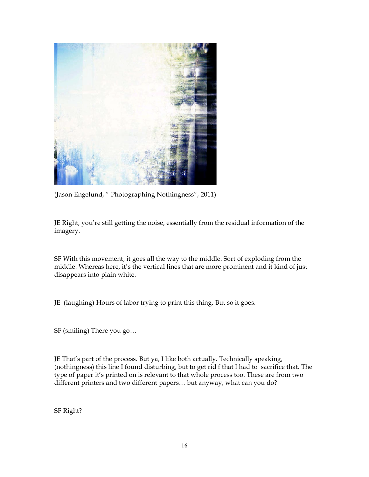

(Jason Engelund, " Photographing Nothingness", 2011)

JE Right, you're still getting the noise, essentially from the residual information of the imagery.

SF With this movement, it goes all the way to the middle. Sort of exploding from the middle. Whereas here, it's the vertical lines that are more prominent and it kind of just disappears into plain white.

JE (laughing) Hours of labor trying to print this thing. But so it goes.

SF (smiling) There you go…

JE That's part of the process. But ya, I like both actually. Technically speaking, (nothingness) this line I found disturbing, but to get rid f that I had to sacrifice that. The type of paper it's printed on is relevant to that whole process too. These are from two different printers and two different papers… but anyway, what can you do?

SF Right?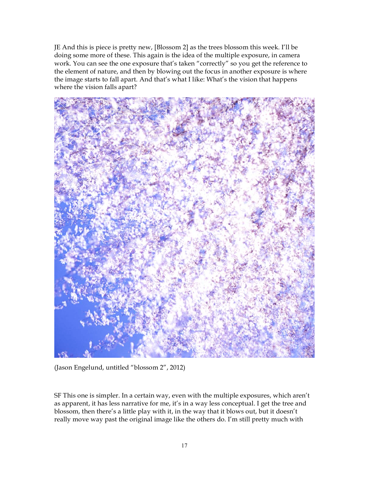JE And this is piece is pretty new, [Blossom 2] as the trees blossom this week. I'll be doing some more of these. This again is the idea of the multiple exposure, in camera work. You can see the one exposure that's taken "correctly" so you get the reference to the element of nature, and then by blowing out the focus in another exposure is where the image starts to fall apart. And that's what I like: What's the vision that happens where the vision falls apart?



(Jason Engelund, untitled "blossom 2", 2012)

SF This one is simpler. In a certain way, even with the multiple exposures, which aren't as apparent, it has less narrative for me, it's in a way less conceptual. I get the tree and blossom, then there's a little play with it, in the way that it blows out, but it doesn't really move way past the original image like the others do. I'm still pretty much with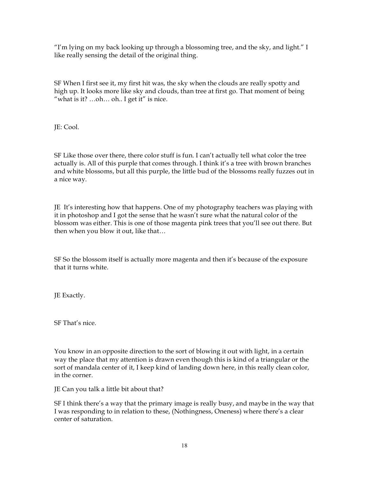"I'm lying on my back looking up through a blossoming tree, and the sky, and light." I like really sensing the detail of the original thing.

SF When I first see it, my first hit was, the sky when the clouds are really spotty and high up. It looks more like sky and clouds, than tree at first go. That moment of being "what is it? ...oh... oh.. I get it" is nice.

JE: Cool.

SF Like those over there, there color stuff is fun. I can't actually tell what color the tree actually is. All of this purple that comes through. I think it's a tree with brown branches and white blossoms, but all this purple, the little bud of the blossoms really fuzzes out in a nice way.

JE It's interesting how that happens. One of my photography teachers was playing with it in photoshop and I got the sense that he wasn't sure what the natural color of the blossom was either. This is one of those magenta pink trees that you'll see out there. But then when you blow it out, like that…

SF So the blossom itself is actually more magenta and then it's because of the exposure that it turns white.

JE Exactly.

SF That's nice.

You know in an opposite direction to the sort of blowing it out with light, in a certain way the place that my attention is drawn even though this is kind of a triangular or the sort of mandala center of it, I keep kind of landing down here, in this really clean color, in the corner.

JE Can you talk a little bit about that?

SF I think there's a way that the primary image is really busy, and maybe in the way that I was responding to in relation to these, (Nothingness, Oneness) where there's a clear center of saturation.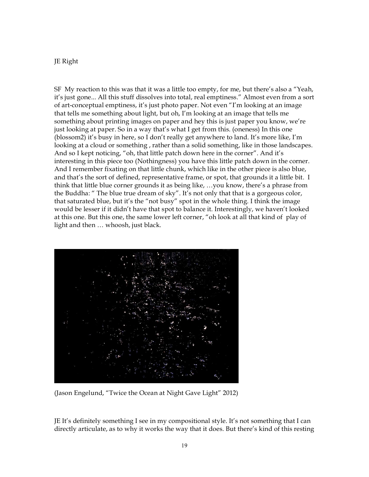## JE Right

SF My reaction to this was that it was a little too empty, for me, but there's also a "Yeah, it's just gone... All this stuff dissolves into total, real emptiness." Almost even from a sort of art-conceptual emptiness, it's just photo paper. Not even "I'm looking at an image that tells me something about light, but oh, I'm looking at an image that tells me something about printing images on paper and hey this is just paper you know, we're just looking at paper. So in a way that's what I get from this. (oneness) In this one (blossom2) it's busy in here, so I don't really get anywhere to land. It's more like, I'm looking at a cloud or something , rather than a solid something, like in those landscapes. And so I kept noticing, "oh, that little patch down here in the corner". And it's interesting in this piece too (Nothingness) you have this little patch down in the corner. And I remember fixating on that little chunk, which like in the other piece is also blue, and that's the sort of defined, representative frame, or spot, that grounds it a little bit. I think that little blue corner grounds it as being like, …you know, there's a phrase from the Buddha: " The blue true dream of sky". It's not only that that is a gorgeous color, that saturated blue, but it's the "not busy" spot in the whole thing. I think the image would be lesser if it didn't have that spot to balance it. Interestingly, we haven't looked at this one. But this one, the same lower left corner, "oh look at all that kind of play of light and then … whoosh, just black.



(Jason Engelund, "Twice the Ocean at Night Gave Light" 2012)

JE It's definitely something I see in my compositional style. It's not something that I can directly articulate, as to why it works the way that it does. But there's kind of this resting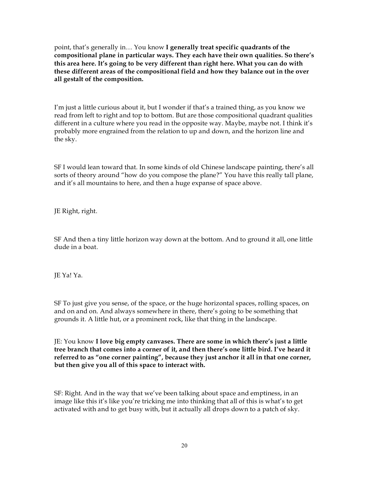point, that's generally in… You know **I generally treat specific quadrants of the compositional plane in particular ways. They each have their own qualities. So there's this area here. It's going to be very different than right here. What you can do with these different areas of the compositional field and how they balance out in the over all gestalt of the composition.**

I'm just a little curious about it, but I wonder if that's a trained thing, as you know we read from left to right and top to bottom. But are those compositional quadrant qualities different in a culture where you read in the opposite way. Maybe, maybe not. I think it's probably more engrained from the relation to up and down, and the horizon line and the sky.

SF I would lean toward that. In some kinds of old Chinese landscape painting, there's all sorts of theory around "how do you compose the plane?" You have this really tall plane, and it's all mountains to here, and then a huge expanse of space above.

JE Right, right.

SF And then a tiny little horizon way down at the bottom. And to ground it all, one little dude in a boat.

JE Ya! Ya.

SF To just give you sense, of the space, or the huge horizontal spaces, rolling spaces, on and on and on. And always somewhere in there, there's going to be something that grounds it. A little hut, or a prominent rock, like that thing in the landscape.

JE: You know **I love big empty canvases. There are some in which there's just a little tree branch that comes into a corner of it, and then there's one little bird. I've heard it referred to as "one corner painting", because they just anchor it all in that one corner, but then give you all of this space to interact with.**

SF: Right. And in the way that we've been talking about space and emptiness, in an image like this it's like you're tricking me into thinking that all of this is what's to get activated with and to get busy with, but it actually all drops down to a patch of sky.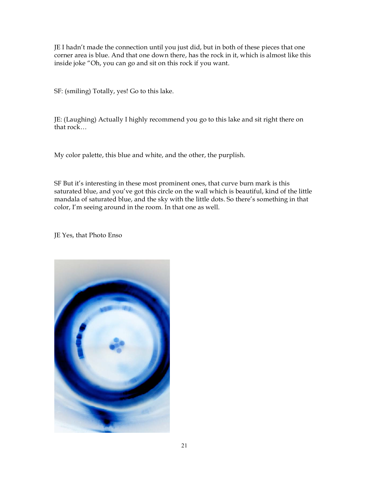JE I hadn't made the connection until you just did, but in both of these pieces that one corner area is blue. And that one down there, has the rock in it, which is almost like this inside joke "Oh, you can go and sit on this rock if you want.

SF: (smiling) Totally, yes! Go to this lake.

JE: (Laughing) Actually I highly recommend you go to this lake and sit right there on that rock…

My color palette, this blue and white, and the other, the purplish.

SF But it's interesting in these most prominent ones, that curve burn mark is this saturated blue, and you've got this circle on the wall which is beautiful, kind of the little mandala of saturated blue, and the sky with the little dots. So there's something in that color, I'm seeing around in the room. In that one as well.

JE Yes, that Photo Enso

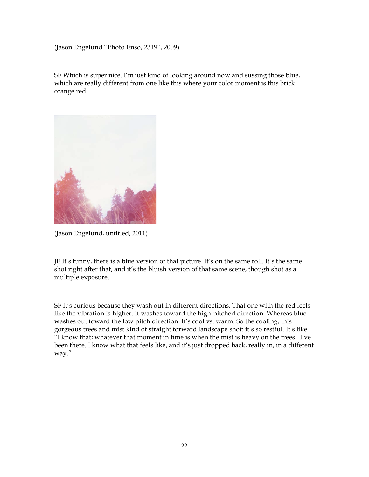(Jason Engelund "Photo Enso, 2319", 2009)

SF Which is super nice. I'm just kind of looking around now and sussing those blue, which are really different from one like this where your color moment is this brick orange red.



(Jason Engelund, untitled, 2011)

JE It's funny, there is a blue version of that picture. It's on the same roll. It's the same shot right after that, and it's the bluish version of that same scene, though shot as a multiple exposure.

SF It's curious because they wash out in different directions. That one with the red feels like the vibration is higher. It washes toward the high-pitched direction. Whereas blue washes out toward the low pitch direction. It's cool vs. warm. So the cooling, this gorgeous trees and mist kind of straight forward landscape shot: it's so restful. It's like "I know that; whatever that moment in time is when the mist is heavy on the trees. I've been there. I know what that feels like, and it's just dropped back, really in, in a different way."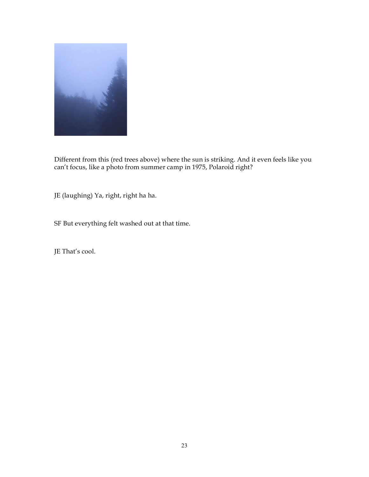

Different from this (red trees above) where the sun is striking. And it even feels like you can't focus, like a photo from summer camp in 1975, Polaroid right?

JE (laughing) Ya, right, right ha ha.

SF But everything felt washed out at that time.

JE That's cool.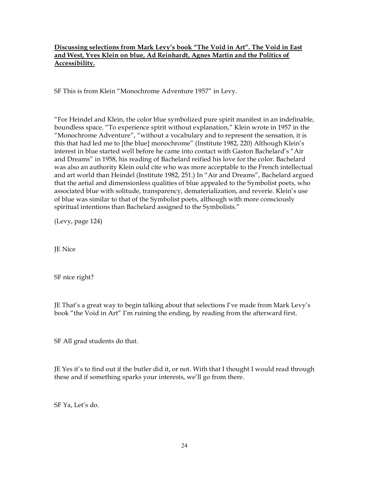# **Discussing selections from Mark Levy's book "The Void in Art". The Void in East and West, Yves Klein on blue, Ad Reinhardt, Agnes Martin and the Politics of Accessibility.**

SF This is from Klein "Monochrome Adventure 1957" in Levy.

"For Heindel and Klein, the color blue symbolized pure spirit manifest in an indefinable, boundless space. "To experience spirit without explanation," Klein wrote in 1957 in the "Monochrome Adventure", "without a vocabulary and to represent the sensation, it is this that had led me to [the blue] monochrome" (Institute 1982, 220) Although Klein's interest in blue started well before he came into contact with Gaston Bachelard's "Air and Dreams" in 1958, his reading of Bachelard reified his love for the color. Bachelard was also an authority Klein ould cite who was more acceptable to the French intellectual and art world than Heindel (Institute 1982, 251.) In "Air and Dreams", Bachelard argued that the aetial and dimensionless qualities of blue appealed to the Symbolist poets, who associated blue with solitude, transparency, dematerialization, and reverie. Klein's use of blue was similar to that of the Symbolist poets, although with more consciously spiritual intentions than Bachelard assigned to the Symbolists."

(Levy, page 124)

JE Nice

SF nice right?

JE That's a great way to begin talking about that selections I've made from Mark Levy's book "the Void in Art" I'm ruining the ending, by reading from the afterward first.

SF All grad students do that.

JE Yes it's to find out if the butler did it, or not. With that I thought I would read through these and if something sparks your interests, we'll go from there.

SF Ya, Let's do.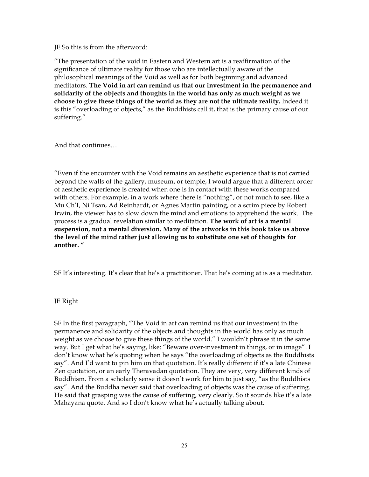JE So this is from the afterword:

"The presentation of the void in Eastern and Western art is a reaffirmation of the significance of ultimate reality for those who are intellectually aware of the philosophical meanings of the Void as well as for both beginning and advanced meditators. **The Void in art can remind us that our investment in the permanence and solidarity of the objects and thoughts in the world has only as much weight as we choose to give these things of the world as they are not the ultimate reality.** Indeed it is this "overloading of objects," as the Buddhists call it, that is the primary cause of our suffering."

And that continues…

"Even if the encounter with the Void remains an aesthetic experience that is not carried beyond the walls of the gallery, museum, or temple, I would argue that a different order of aesthetic experience is created when one is in contact with these works compared with others. For example, in a work where there is "nothing", or not much to see, like a Mu Ch'I, Ni Tsan, Ad Reinhardt, or Agnes Martin painting, or a scrim piece by Robert Irwin, the viewer has to slow down the mind and emotions to apprehend the work. The process is a gradual revelation similar to meditation. **The work of art is a mental suspension, not a mental diversion. Many of the artworks in this book take us above the level of the mind rather just allowing us to substitute one set of thoughts for another. "**

SF It's interesting. It's clear that he's a practitioner. That he's coming at is as a meditator.

# JE Right

SF In the first paragraph, "The Void in art can remind us that our investment in the permanence and solidarity of the objects and thoughts in the world has only as much weight as we choose to give these things of the world." I wouldn't phrase it in the same way. But I get what he's saying, like: "Beware over-investment in things, or in image". I don't know what he's quoting when he says "the overloading of objects as the Buddhists say". And I'd want to pin him on that quotation. It's really different if it's a late Chinese Zen quotation, or an early Theravadan quotation. They are very, very different kinds of Buddhism. From a scholarly sense it doesn't work for him to just say, "as the Buddhists say". And the Buddha never said that overloading of objects was the cause of suffering. He said that grasping was the cause of suffering, very clearly. So it sounds like it's a late Mahayana quote. And so I don't know what he's actually talking about.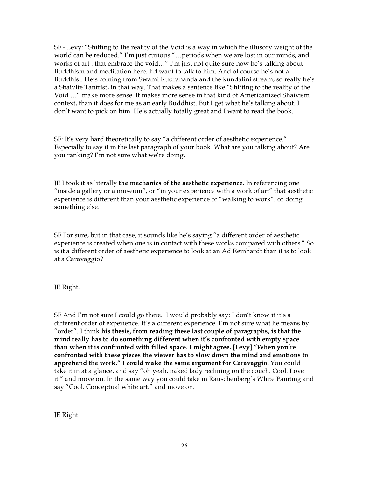SF - Levy: "Shifting to the reality of the Void is a way in which the illusory weight of the world can be reduced." I'm just curious "…periods when we are lost in our minds, and works of art , that embrace the void…" I'm just not quite sure how he's talking about Buddhism and meditation here. I'd want to talk to him. And of course he's not a Buddhist. He's coming from Swami Rudrananda and the kundalini stream, so really he's a Shaivite Tantrist, in that way. That makes a sentence like "Shifting to the reality of the Void …" make more sense. It makes more sense in that kind of Americanized Shaivism context, than it does for me as an early Buddhist. But I get what he's talking about. I don't want to pick on him. He's actually totally great and I want to read the book.

SF: It's very hard theoretically to say "a different order of aesthetic experience." Especially to say it in the last paragraph of your book. What are you talking about? Are you ranking? I'm not sure what we're doing.

JE I took it as literally **the mechanics of the aesthetic experience.** In referencing one "inside a gallery or a museum", or "in your experience with a work of art" that aesthetic experience is different than your aesthetic experience of "walking to work", or doing something else.

SF For sure, but in that case, it sounds like he's saying "a different order of aesthetic experience is created when one is in contact with these works compared with others." So is it a different order of aesthetic experience to look at an Ad Reinhardt than it is to look at a Caravaggio?

JE Right.

SF And I'm not sure I could go there. I would probably say: I don't know if it's a different order of experience. It's a different experience. I'm not sure what he means by "order". I think **his thesis, from reading these last couple of paragraphs, is that the mind really has to do something different when it's confronted with empty space than when it is confronted with filled space. I might agree. [Levy] "When you're confronted with these pieces the viewer has to slow down the mind and emotions to apprehend the work." I could make the same argument for Caravaggio.** You could take it in at a glance, and say "oh yeah, naked lady reclining on the couch. Cool. Love it." and move on. In the same way you could take in Rauschenberg's White Painting and say "Cool. Conceptual white art." and move on.

JE Right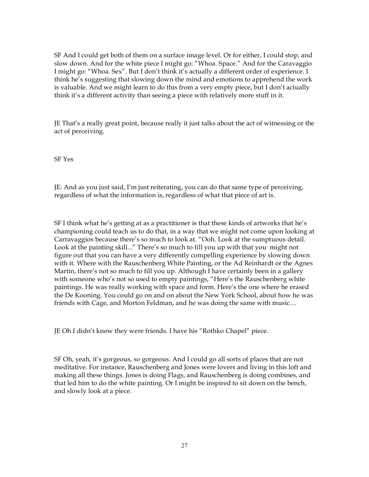SF And I could get both of them on a surface image level. Or for either, I could stop, and slow down. And for the white piece I might go: "Whoa. Space." And for the Caravaggio I might go: "Whoa. Sex". But I don't think it's actually a different order of experience. I think he's suggesting that slowing down the mind and emotions to apprehend the work is valuable. And we might learn to do this from a very empty piece, but I don't actually think it's a different activity than seeing a piece with relatively more stuff in it.

JE That's a really great point, because really it just talks about the act of witnessing or the act of perceiving.

SF Yes

JE: And as you just said, I'm just reiterating, you can do that same type of perceiving, regardless of what the information is, regardless of what that piece of art is.

SF I think what he's getting at as a practitioner is that these kinds of artworks that he's championing could teach us to do that, in a way that we might not come upon looking at Carravaggios because there's so much to look at. "Ooh. Look at the sumptuous detail. Look at the painting skill..." There's so much to fill you up with that you might not figure out that you can have a very differently compelling experience by slowing down with it. Where with the Rauschenberg White Painting, or the Ad Reinhardt or the Agnes Martin, there's not so much to fill you up. Although I have certainly been in a gallery with someone who's not so used to empty paintings, "Here's the Rauschenberg white paintings. He was really working with space and form. Here's the one where he erased the De Kooning. You could go on and on about the New York School, about how he was friends with Cage, and Morton Feldman, and he was doing the same with music…

JE Oh I didn't know they were friends. I have his "Rothko Chapel" piece.

SF Oh, yeah, it's gorgeous, so gorgeous. And I could go all sorts of places that are not meditative. For instance, Rauschenberg and Jones were lovers and living in this loft and making all these things. Jones is doing Flags, and Rauschenberg is doing combines, and that led him to do the white painting. Or I might be inspired to sit down on the bench, and slowly look at a piece.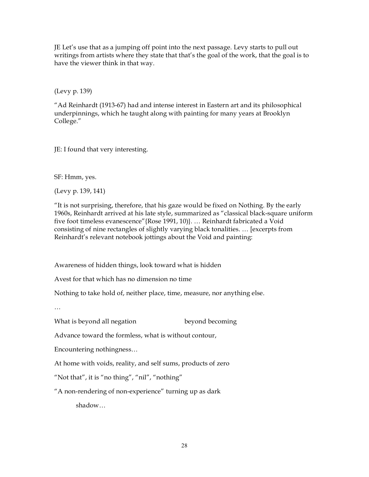JE Let's use that as a jumping off point into the next passage. Levy starts to pull out writings from artists where they state that that's the goal of the work, that the goal is to have the viewer think in that way.

(Levy p. 139)

"Ad Reinhardt (1913-67) had and intense interest in Eastern art and its philosophical underpinnings, which he taught along with painting for many years at Brooklyn College."

JE: I found that very interesting.

SF: Hmm, yes.

(Levy p. 139, 141)

"It is not surprising, therefore, that his gaze would be fixed on Nothing. By the early 1960s, Reinhardt arrived at his late style, summarized as "classical black-square uniform five foot timeless evanescence"{Rose 1991, 10)}. … Reinhardt fabricated a Void consisting of nine rectangles of slightly varying black tonalities. … [excerpts from Reinhardt's relevant notebook jottings about the Void and painting:

Awareness of hidden things, look toward what is hidden

Avest for that which has no dimension no time

Nothing to take hold of, neither place, time, measure, nor anything else.

…

What is beyond all negation beyond becoming

Advance toward the formless, what is without contour,

Encountering nothingness…

At home with voids, reality, and self sums, products of zero

"Not that", it is "no thing", "nil", "nothing"

"A non-rendering of non-experience" turning up as dark

shadow…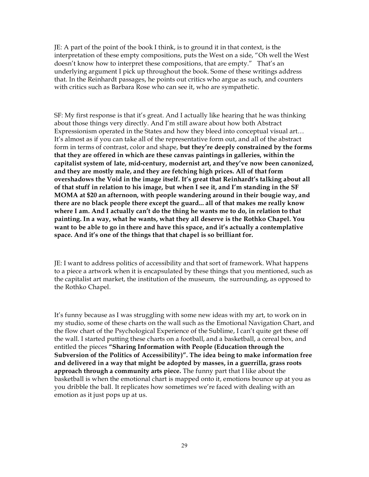JE: A part of the point of the book I think, is to ground it in that context, is the interpretation of these empty compositions, puts the West on a side, "Oh well the West doesn't know how to interpret these compositions, that are empty." That's an underlying argument I pick up throughout the book. Some of these writings address that. In the Reinhardt passages, he points out critics who argue as such, and counters with critics such as Barbara Rose who can see it, who are sympathetic.

SF: My first response is that it's great. And I actually like hearing that he was thinking about those things very directly. And I'm still aware about how both Abstract Expressionism operated in the States and how they bleed into conceptual visual art… It's almost as if you can take all of the representative form out, and all of the abstract form in terms of contrast, color and shape, **but they're deeply constrained by the forms that they are offered in which are these canvas paintings in galleries, within the capitalist system of late, mid-century, modernist art, and they've now been canonized, and they are mostly male, and they are fetching high prices. All of that form overshadows the Void in the image itself. It's great that Reinhardt's talking about all of that stuff in relation to his image, but when I see it, and I'm standing in the SF MOMA at \$20 an afternoon, with people wandering around in their bougie way, and there are no black people there except the guard... all of that makes me really know where I am. And I actually can't do the thing he wants me to do, in relation to that painting. In a way, what he wants, what they all deserve is the Rothko Chapel. You want to be able to go in there and have this space, and it's actually a contemplative space. And it's one of the things that that chapel is so brilliant for.** 

JE: I want to address politics of accessibility and that sort of framework. What happens to a piece a artwork when it is encapsulated by these things that you mentioned, such as the capitalist art market, the institution of the museum, the surrounding, as opposed to the Rothko Chapel.

It's funny because as I was struggling with some new ideas with my art, to work on in my studio, some of these charts on the wall such as the Emotional Navigation Chart, and the flow chart of the Psychological Experience of the Sublime, I can't quite get these off the wall. I started putting these charts on a football, and a basketball, a cereal box, and entitled the pieces **"Sharing Information with People (Education through the Subversion of the Politics of Accessibility)". The idea being to make information free and delivered in a way that might be adopted by masses, in a guerrilla, grass roots approach through a community arts piece.** The funny part that I like about the basketball is when the emotional chart is mapped onto it, emotions bounce up at you as you dribble the ball. It replicates how sometimes we're faced with dealing with an emotion as it just pops up at us.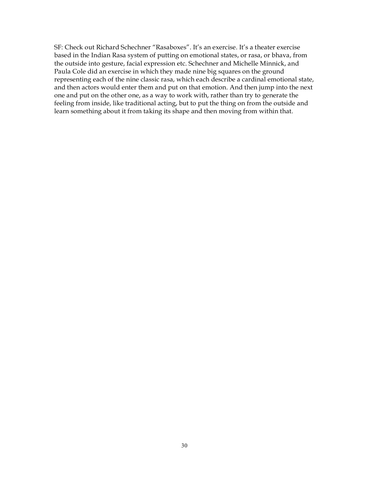SF: Check out Richard Schechner "Rasaboxes". It's an exercise. It's a theater exercise based in the Indian Rasa system of putting on emotional states, or rasa, or bhava, from the outside into gesture, facial expression etc. Schechner and Michelle Minnick, and Paula Cole did an exercise in which they made nine big squares on the ground representing each of the nine classic rasa, which each describe a cardinal emotional state, and then actors would enter them and put on that emotion. And then jump into the next one and put on the other one, as a way to work with, rather than try to generate the feeling from inside, like traditional acting, but to put the thing on from the outside and learn something about it from taking its shape and then moving from within that.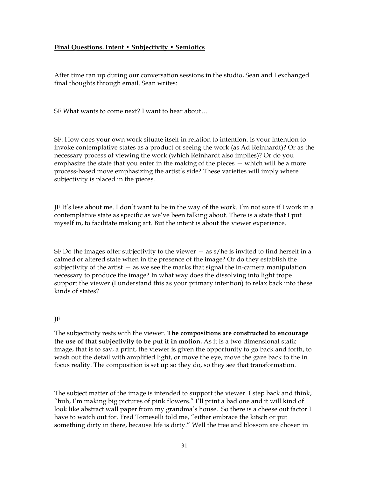#### **Final Questions. Intent • Subjectivity • Semiotics**

After time ran up during our conversation sessions in the studio, Sean and I exchanged final thoughts through email. Sean writes:

SF What wants to come next? I want to hear about…

SF: How does your own work situate itself in relation to intention. Is your intention to invoke contemplative states as a product of seeing the work (as Ad Reinhardt)? Or as the necessary process of viewing the work (which Reinhardt also implies)? Or do you emphasize the state that you enter in the making of the pieces — which will be a more process-based move emphasizing the artist's side? These varieties will imply where subjectivity is placed in the pieces.

JE It's less about me. I don't want to be in the way of the work. I'm not sure if I work in a contemplative state as specific as we've been talking about. There is a state that I put myself in, to facilitate making art. But the intent is about the viewer experience.

SF Do the images offer subjectivity to the viewer  $-$  as  $s/h$ e is invited to find herself in a calmed or altered state when in the presence of the image? Or do they establish the subjectivity of the artist — as we see the marks that signal the in-camera manipulation necessary to produce the image? In what way does the dissolving into light trope support the viewer (I understand this as your primary intention) to relax back into these kinds of states?

#### JE

The subjectivity rests with the viewer. **The compositions are constructed to encourage the use of that subjectivity to be put it in motion.** As it is a two dimensional static image, that is to say, a print, the viewer is given the opportunity to go back and forth, to wash out the detail with amplified light, or move the eye, move the gaze back to the in focus reality. The composition is set up so they do, so they see that transformation.

The subject matter of the image is intended to support the viewer. I step back and think, "huh, I'm making big pictures of pink flowers." I'll print a bad one and it will kind of look like abstract wall paper from my grandma's house. So there is a cheese out factor I have to watch out for. Fred Tomeselli told me, "either embrace the kitsch or put something dirty in there, because life is dirty." Well the tree and blossom are chosen in